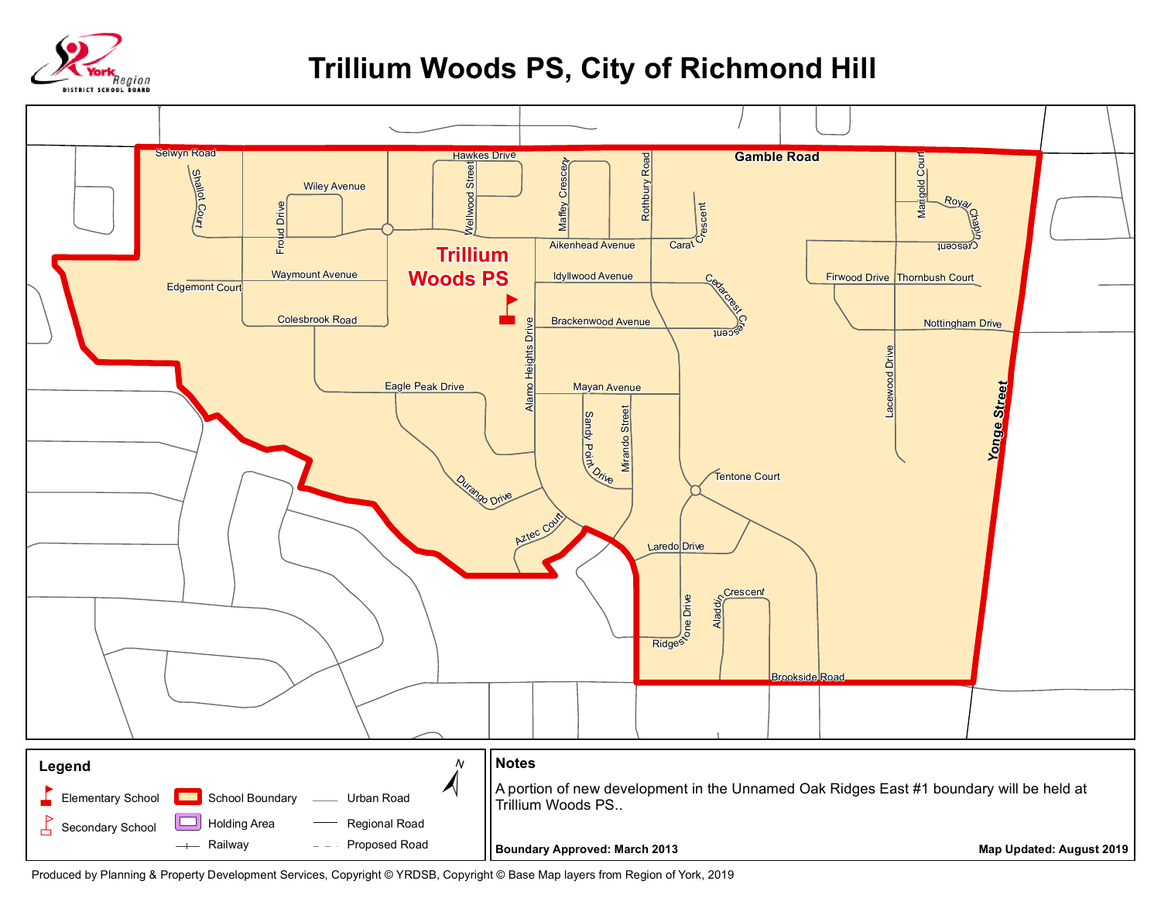

## **Trillium Woods PS, City of Richmond Hill**



Produced by Planning & Property Development Services, Copyright © YRDSB, Copyright © Base Map layers from Region of York, 2019